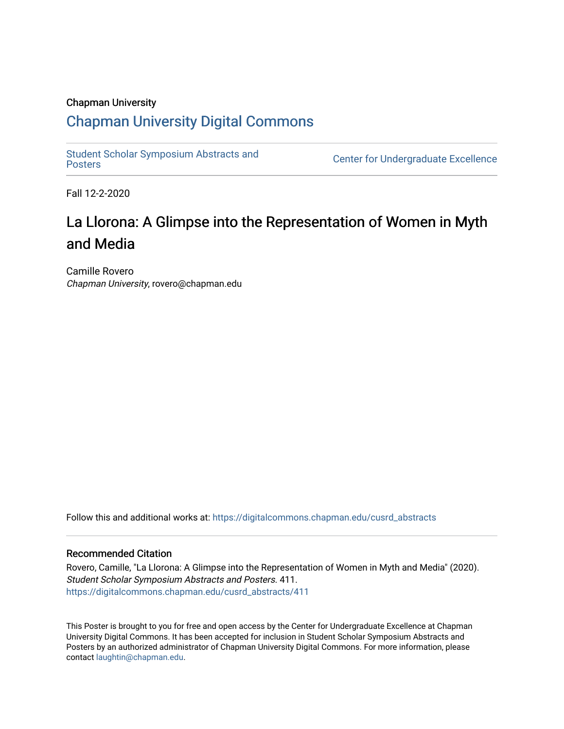### Chapman University

### [Chapman University Digital Commons](https://digitalcommons.chapman.edu/)

[Student Scholar Symposium Abstracts and](https://digitalcommons.chapman.edu/cusrd_abstracts) 

**Center for Undergraduate Excellence** 

Fall 12-2-2020

### La Llorona: A Glimpse into the Representation of Women in Myth and Media

Camille Rovero Chapman University, rovero@chapman.edu

Follow this and additional works at: [https://digitalcommons.chapman.edu/cusrd\\_abstracts](https://digitalcommons.chapman.edu/cusrd_abstracts?utm_source=digitalcommons.chapman.edu%2Fcusrd_abstracts%2F411&utm_medium=PDF&utm_campaign=PDFCoverPages) 

### Recommended Citation

Rovero, Camille, "La Llorona: A Glimpse into the Representation of Women in Myth and Media" (2020). Student Scholar Symposium Abstracts and Posters. 411. [https://digitalcommons.chapman.edu/cusrd\\_abstracts/411](https://digitalcommons.chapman.edu/cusrd_abstracts/411?utm_source=digitalcommons.chapman.edu%2Fcusrd_abstracts%2F411&utm_medium=PDF&utm_campaign=PDFCoverPages) 

This Poster is brought to you for free and open access by the Center for Undergraduate Excellence at Chapman University Digital Commons. It has been accepted for inclusion in Student Scholar Symposium Abstracts and Posters by an authorized administrator of Chapman University Digital Commons. For more information, please contact [laughtin@chapman.edu](mailto:laughtin@chapman.edu).